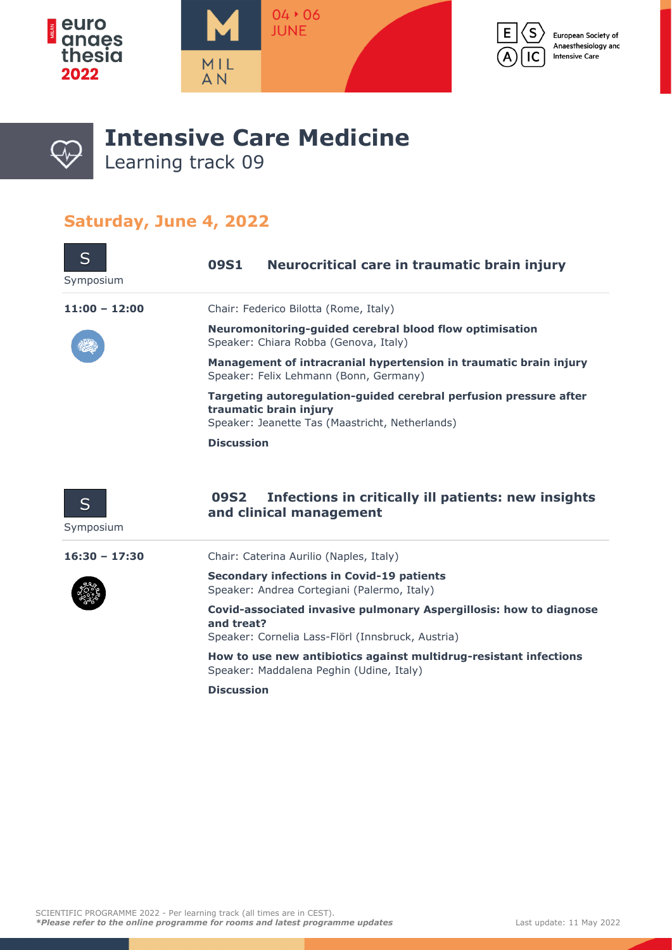







## **Intensive Care Medicine** Learning track 09

## **Saturday, June 4, 2022**

| S<br>Symposium  | Neurocritical care in traumatic brain injury<br>09S1                                                                                           |  |  |
|-----------------|------------------------------------------------------------------------------------------------------------------------------------------------|--|--|
| $11:00 - 12:00$ | Chair: Federico Bilotta (Rome, Italy)                                                                                                          |  |  |
|                 | Neuromonitoring-quided cerebral blood flow optimisation<br>Speaker: Chiara Robba (Genova, Italy)                                               |  |  |
|                 | Management of intracranial hypertension in traumatic brain injury<br>Speaker: Felix Lehmann (Bonn, Germany)                                    |  |  |
|                 | Targeting autoregulation-guided cerebral perfusion pressure after<br>traumatic brain injury<br>Speaker: Jeanette Tas (Maastricht, Netherlands) |  |  |
|                 | <b>Discussion</b>                                                                                                                              |  |  |



## **09S2 Infections in critically ill patients: new insights and clinical management**

Symposium

**16:30 – 17:30** Chair: Caterina Aurilio (Naples, Italy)



**Secondary infections in Covid-19 patients** Speaker: Andrea Cortegiani (Palermo, Italy)

**Covid-associated invasive pulmonary Aspergillosis: how to diagnose and treat?**

Speaker: Cornelia Lass-Flörl (Innsbruck, Austria)

**How to use new antibiotics against multidrug-resistant infections** Speaker: Maddalena Peghin (Udine, Italy)

**Discussion**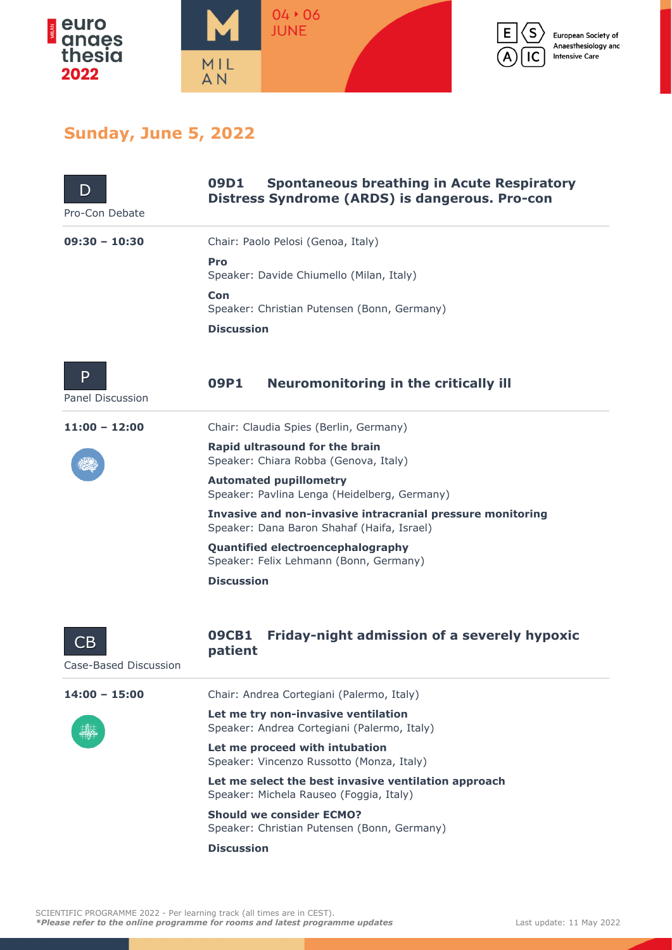



European Society of Anaesthesiology and **Intensive Care** 

## **Sunday, June 5, 2022**

| I)<br>Pro-Con Debate        | <b>Spontaneous breathing in Acute Respiratory</b><br>09D1<br><b>Distress Syndrome (ARDS) is dangerous. Pro-con</b> |  |  |  |
|-----------------------------|--------------------------------------------------------------------------------------------------------------------|--|--|--|
| $09:30 - 10:30$             | Chair: Paolo Pelosi (Genoa, Italy)                                                                                 |  |  |  |
|                             | Pro<br>Speaker: Davide Chiumello (Milan, Italy)                                                                    |  |  |  |
|                             | Con<br>Speaker: Christian Putensen (Bonn, Germany)                                                                 |  |  |  |
|                             | <b>Discussion</b>                                                                                                  |  |  |  |
| P<br>Panel Discussion       | <b>Neuromonitoring in the critically ill</b><br>09P1                                                               |  |  |  |
| $11:00 - 12:00$             | Chair: Claudia Spies (Berlin, Germany)                                                                             |  |  |  |
|                             | Rapid ultrasound for the brain<br>Speaker: Chiara Robba (Genova, Italy)                                            |  |  |  |
|                             | <b>Automated pupillometry</b><br>Speaker: Pavlina Lenga (Heidelberg, Germany)                                      |  |  |  |
|                             | Invasive and non-invasive intracranial pressure monitoring<br>Speaker: Dana Baron Shahaf (Haifa, Israel)           |  |  |  |
|                             | Quantified electroencephalography<br>Speaker: Felix Lehmann (Bonn, Germany)                                        |  |  |  |
|                             | <b>Discussion</b>                                                                                                  |  |  |  |
| CΒ<br>Case-Based Discussion | Friday-night admission of a severely hypoxic<br><b>09CB1</b><br>patient                                            |  |  |  |
| $14:00 - 15:00$             | Chair: Andrea Cortegiani (Palermo, Italy)                                                                          |  |  |  |
|                             | Let me try non-invasive ventilation<br>Speaker: Andrea Cortegiani (Palermo, Italy)                                 |  |  |  |
|                             | Let me proceed with intubation<br>Speaker: Vincenzo Russotto (Monza, Italy)                                        |  |  |  |
|                             | Let me select the best invasive ventilation approach<br>Speaker: Michela Rauseo (Foggia, Italy)                    |  |  |  |
|                             | <b>Should we consider ECMO?</b><br>Speaker: Christian Putensen (Bonn, Germany)                                     |  |  |  |
|                             | <b>Discussion</b>                                                                                                  |  |  |  |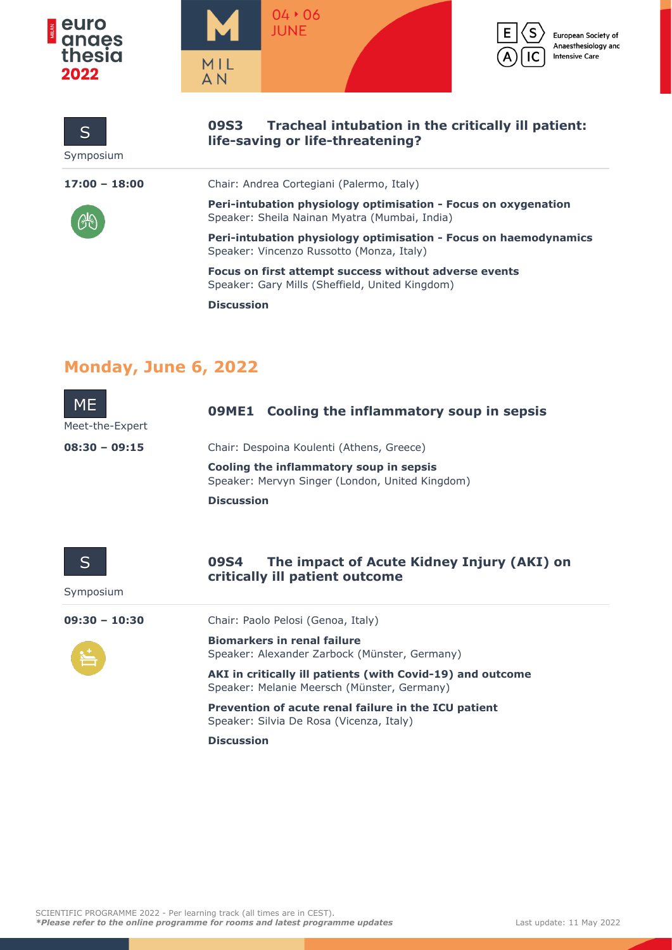





European Society of Anaesthesiology and **Intensive Care** 

| S<br>Symposium              | Tracheal intubation in the critically ill patient:<br><b>09S3</b><br>life-saving or life-threatening?           |
|-----------------------------|-----------------------------------------------------------------------------------------------------------------|
| $17:00 - 18:00$             | Chair: Andrea Cortegiani (Palermo, Italy)                                                                       |
|                             | Peri-intubation physiology optimisation - Focus on oxygenation<br>Speaker: Sheila Nainan Myatra (Mumbai, India) |
|                             | Peri-intubation physiology optimisation - Focus on haemodynamics<br>Speaker: Vincenzo Russotto (Monza, Italy)   |
|                             | Focus on first attempt success without adverse events<br>Speaker: Gary Mills (Sheffield, United Kingdom)        |
|                             | <b>Discussion</b>                                                                                               |
| <b>Monday, June 6, 2022</b> |                                                                                                                 |
| ME<br>Meet-the-Expert       | Cooling the inflammatory soup in sepsis<br>09ME1                                                                |
| $08:30 - 09:15$             | Chair: Despoina Koulenti (Athens, Greece)                                                                       |
|                             | Cooling the inflammatory soup in sepsis<br>Speaker: Mervyn Singer (London, United Kingdom)                      |
|                             | <b>Discussion</b>                                                                                               |